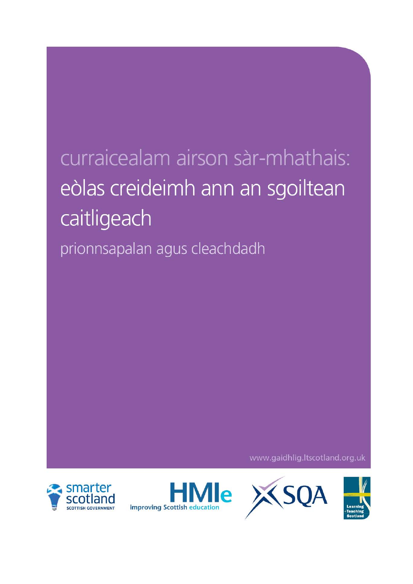# curraicealam airson sàr-mhathais: eòlas creideimh ann an sgoiltean caitligeach prionnsapalan agus cleachdadh

www.gaidhlig.ltscotland.org.uk





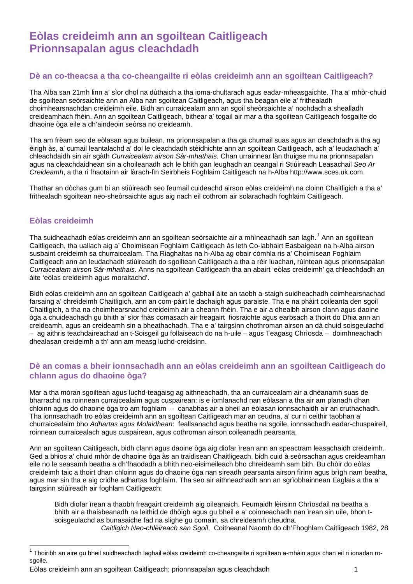## **Eòlas creideimh ann an sgoiltean Caitligeach Prionnsapalan agus cleachdadh**

## **Dè an co-theacsa a tha co-cheangailte ri eòlas creideimh ann an sgoiltean Caitligeach?**

Tha Alba san 21mh linn a' sìor dhol na dùthaich a tha ioma-chultarach agus eadar-mheasgaichte. Tha a' mhòr-chuid de sgoiltean seòrsaichte ann an Alba nan sgoiltean Caitligeach, agus tha beagan eile a' frithealadh choimhearsnachdan creideimh eile. Bidh an curraicealam ann an sgoil sheòrsaichte a' nochdadh a shealladh creideamhach fhèin. Ann an sgoiltean Caitligeach, bithear a' togail air mar a tha sgoiltean Caitligeach fosgailte do dhaoine òga eile a dh'aindeoin seòrsa no creideamh.

Tha am frèam seo de eòlasan agus builean, na prionnsapalan a tha ga chumail suas agus an cleachdadh a tha ag èirigh às, a' cumail leantalachd a' dol le cleachdadh stèidhichte ann an sgoiltean Caitligeach, ach a' leudachadh a' chleachdaidh sin air sgàth *Curraicealam airson Sàr-mhathais.* Chan urrainnear làn thuigse mu na prionnsapalan agus na cleachdaidhean sin a choileanadh ach le bhith gan leughadh an ceangal ri Stiùireadh Leasachail *Seo Ar Creideamh*, a tha ri fhaotainn air làrach-lìn Seirbheis Foghlaim Caitligeach na h-Alba http://www.sces.uk.com.

Thathar an dòchas gum bi an stiùireadh seo feumail cuideachd airson eòlas creideimh na cloinn Chaitligich a tha a' frithealadh sgoiltean neo-sheòrsaichte agus aig nach eil cothrom air solarachadh foghlaim Caitligeach.

## **Eòlas creideimh**

Tha suidheachadh eòlas creideimh ann an sgoiltean seòrsaichte air a mhìneachadh san lagh.<sup>[1](#page-1-0)</sup> Ann an sgoiltean Caitligeach, tha uallach aig a' Choimisean Foghlaim Caitligeach às leth Co-labhairt Easbaigean na h-Alba airson susbaint creideimh sa churraicealam. Tha Riaghaltas na h-Alba ag obair còmhla ris a' Choimisean Foghlaim Caitligeach ann an leudachadh stiùireadh do sgoiltean Caitligeach a tha a rèir luachan, rùintean agus prionnsapalan *Curraicealam airson Sàr-mhathais*. Anns na sgoiltean Caitligeach tha an abairt 'eòlas creideimh' ga chleachdadh an àite 'eòlas creideimh agus moraltachd'.

Bidh eòlas creideimh ann an sgoiltean Caitligeach a' gabhail àite an taobh a-staigh suidheachadh coimhearsnachad farsaing a' chreideimh Chaitligich, ann an com-pàirt le dachaigh agus paraiste. Tha e na phàirt coileanta den sgoil Chaitligich, a tha na choimhearsnachd creideimh air a cheann fhèin. Tha e air a dhealbh airson clann agus daoine òga a chuideachadh gu bhith a' sìor fhàs comasach air freagairt fiosraichte agus earbsach a thoirt do Dhia ann an creideamh, agus an creideamh sin a bheathachadh. Tha e a' tairgsinn chothroman airson an dà chuid soisgeulachd – ag aithris teachdaireachad an t-Soisgeil gu follaiseach do na h-uile – agus Teagasg Chrìosda – doimhneachadh dhealasan creideimh a th' ann am measg luchd-creidsinn.

## **Dè an comas a bheir ionnsachadh ann an eòlas creideimh ann an sgoiltean Caitligeach do chlann agus do dhaoine òga?**

Mar a tha mòran sgoiltean agus luchd-teagaisg ag aithneachadh, tha an curraicealam air a dhèanamh suas de bharrachd na roinnean curraicealaim agus cuspairean: is e iomlanachd nan eòlasan a tha air am planadh dhan chloinn agus do dhaoine òga tro am foghlam – canabhas air a bheil an eòlasan ionnsachaidh air an cruthachadh. Tha ionnsachadh tro eòlas creideimh ann an sgoiltean Caitligeach mar an ceudna, a' cur ri ceithir taobhan a' churraicealaim bho *Adhartas agus Molaidhean*: feallsanachd agus beatha na sgoile, ionnsachadh eadar-chuspaireil, roinnean curraicealach agus cuspairean, agus cothroman airson coileanadh pearsanta.

Ann an sgoiltean Caitligeach, bidh clann agus daoine òga aig diofar ìrean ann an speactram leasachaidh creideimh. Ged a bhios a' chuid mhòr de dhaoine òga às an traidisean Chaitligeach, bidh cuid à seòrsachan agus creideamhan eile no le seasamh beatha a dh'fhaodadh a bhith neo-eisimeileach bho chreideamh sam bith. Bu chòir do eòlas creideimh taic a thoirt dhan chloinn agus do dhaoine òga nan sireadh pearsanta airson fìrinn agus brìgh nam beatha, agus mar sin tha e aig cridhe adhartas foghlaim. Tha seo air aithneachadh ann an sgrìobhainnean Eaglais a tha a' tairgsinn stiùireadh air foghlam Caitligeach:

Bidh diofar ìrean a thaobh freagairt creideimh aig oileanaich. Feumaidh lèirsinn Chrìosdail na beatha a bhith air a thaisbeanadh na leithid de dhòigh agus gu bheil e a' coinneachadh nan ìrean sin uile, bhon tsoisgeulachd as bunasaiche fad na slighe gu comain, sa chreideamh cheudna. *Caitligich Neo-chlèireach san Sgoil*, Coitheanal Naomh do dh'Fhoghlam Caitligeach 1982, 28

<span id="page-1-0"></span> $1$ Thoiribh an aire gu bheil suidheachadh laghail eòlas creideimh co-cheangailte ri sgoiltean a-mhàin agus chan eil ri ionadan rosgoile.

Eòlas creideimh ann an sgoiltean Caitligeach: prionnsapalan agus cleachdadh 1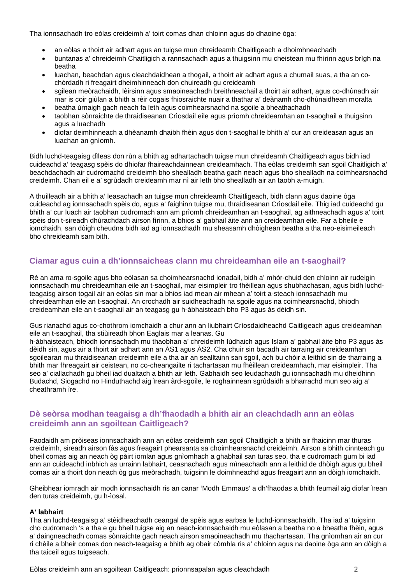Tha ionnsachadh tro eòlas creideimh a' toirt comas dhan chloinn agus do dhaoine òga:

- an eòlas a thoirt air adhart agus an tuigse mun chreideamh Chaitligeach a dhoimhneachadh
- buntanas a' chreideimh Chaitligich a rannsachadh agus a thuigsinn mu cheistean mu fhìrinn agus brìgh na beatha
- luachan, beachdan agus cleachdaidhean a thogail, a thoirt air adhart agus a chumail suas, a tha an cochòrdadh ri freagairt dheimhinneach don chuireadh gu creideamh
- sgilean meòrachaidh, lèirsinn agus smaoineachadh breithneachail a thoirt air adhart, agus co-dhùnadh air mar is coir giùlan a bhith a rèir cogais fhiosraichte nuair a thathar a' deànamh cho-dhùnaidhean moralta
- beatha ùrnaigh gach neach fa leth agus coimhearsnachd na sgoile a bheathachadh
- taobhan sònraichte de thraidiseanan Crìosdail eile agus prìomh chreideamhan an t-saoghail a thuigsinn agus a luachadh
- diofar deimhinneach a dhèanamh dhaibh fhèin agus don t-saoghal le bhith a' cur an creideasan agus an luachan an gnìomh.

Bidh luchd-teagaisg dìleas don rùn a bhith ag adhartachadh tuigse mun chreideamh Chaitligeach agus bidh iad cuideachd a' teagasg spèis do dhiofar fhaireachdainnean creideamhach. Tha eòlas creideimh san sgoil Chaitligich a' beachdachadh air cudromachd creideimh bho shealladh beatha gach neach agus bho shealladh na coimhearsnachd creideimh. Chan eil e a' sgrùdadh creideamh mar nì air leth bho shealladh air an taobh a-muigh.

A thuilleadh air a bhith a' leasachadh an tuigse mun chreideamh Chaitligeach, bidh clann agus daoine òga cuideachd ag ionnsachadh spèis do, agus a' faighinn tuigse mu, thraidiseanan Crìosdail eile. Thig iad cuideachd gu bhith a' cur luach air taobhan cudromach ann am prìomh chreideamhan an t-saoghail, ag aithneachadh agus a' toirt spèis don t-sireadh dhùrachdach airson fìrinn, a bhios a' gabhail àite ann an creideamhan eile. Far a bheile e iomchaidh, san dòigh cheudna bidh iad ag ionnsachadh mu sheasamh dhòighean beatha a tha neo-eisimeileach bho chreideamh sam bith.

## **Ciamar agus cuin a dh'ionnsaicheas clann mu chreideamhan eile an t-saoghail?**

Rè an ama ro-sgoile agus bho eòlasan sa choimhearsnachd ionadail, bidh a' mhòr-chuid den chloinn air rudeigin ionnsachadh mu chreideamhan eile an t-saoghail, mar eisimpleir tro fhèillean agus shubhachasan, agus bidh luchdteagaisg airson togail air an eòlas sin mar a bhios iad mean air mhean a' toirt a-steach ionnsachadh mu chreideamhan eile an t-saoghail. An crochadh air suidheachadh na sgoile agus na coimhearsnachd, bhiodh creideamhan eile an t-saoghail air an teagasg gu h-àbhaisteach bho P3 agus às dèidh sin.

Gus rianachd agus co-chothrom iomchaidh a chur ann an liubhairt Crìosdaidheachd Caitligeach agus creideamhan eile an t-saoghail, tha stiùireadh bhon Eaglais mar a leanas. Gu

h-àbhaisteach, bhiodh ionnsachadh mu thaobhan a' chreideimh Iùdhaich agus Islam a' gabhail àite bho P3 agus às dèidh sin, agus air a thoirt air adhart ann an ÀS1 agus ÀS2. Cha chuir sin bacadh air tarraing air creideamhan sgoilearan mu thraidiseanan creideimh eile a tha air an sealltainn san sgoil, ach bu chòir a leithid sin de tharraing a bhith mar fhreagairt air ceistean, no co-cheangailte ri tachartasan mu fhèillean creideamhach, mar eisimpleir. Tha seo a' ciallachadh gu bheil iad dualtach a bhith air leth. Gabhaidh seo leudachadh gu ionnsachadh mu dheidhinn Budachd, Siogachd no Hinduthachd aig ìrean àrd-sgoile, le roghainnean sgrùdaidh a bharrachd mun seo aig a' cheathramh ìre.

## **Dè seòrsa modhan teagaisg a dh'fhaodadh a bhith air an cleachdadh ann an eòlas creideimh ann an sgoiltean Caitligeach?**

Faodaidh am pròiseas ionnsachaidh ann an eòlas creideimh san sgoil Chaitligich a bhith air fhaicinn mar thuras creideimh, sireadh airson fàs agus freagairt phearsanta sa choimhearsnachd creideimh. Airson a bhith cinnteach gu bheil comas aig an neach òg pàirt iomlan agus gnìomhach a ghabhail san turas seo, tha e cudromach gum bi iad ann an cuideachd inbhich as urrainn labhairt, ceasnachadh agus mìneachadh ann a leithid de dhòigh agus gu bheil comas air a thoirt don neach òg gus meòrachadh, tuigsinn le doimhneachd agus freagairt ann an dòigh iomchaidh.

Gheibhear iomradh air modh ionnsachaidh ris an canar 'Modh Emmaus' a dh'fhaodas a bhith feumail aig diofar ìrean den turas creideimh, gu h-ìosal.

## **A' labhairt**

Tha an luchd-teagaisg a' stèidheachadh ceangal de spèis agus earbsa le luchd-ionnsachaidh. Tha iad a' tuigsinn cho cudromach 's a tha e gu bheil tuigse aig an neach-ionnsachaidh mu eòlasan a beatha no a bheatha fhèin, agus a' daingneachadh comas sònraichte gach neach airson smaoineachadh mu thachartasan. Tha gnìomhan air an cur ri chèile a bheir comas don neach-teagaisg a bhith ag obair còmhla ris a' chloinn agus na daoine òga ann an dòigh a tha taiceil agus tuigseach.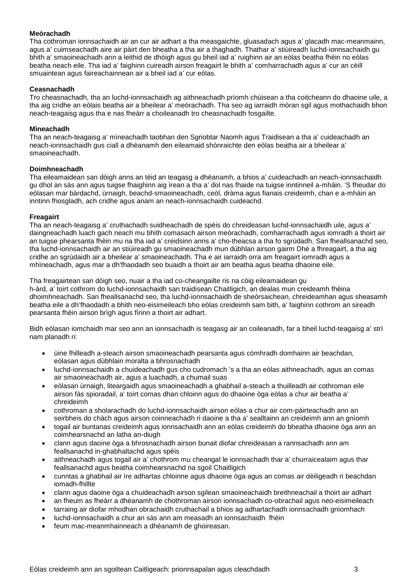## **Meòrachadh**

Tha cothroman ionnsachaidh air an cur air adhart a tha measgaichte, gluasadach agus a' glacadh mac-meanmainn, agus a' cuimseachadh aire air pàirt den bheatha a tha air a thaghadh. Thathar a' stiùireadh luchd-ionnsachaidh gu bhith a' smaoineachadh ann a leithid de dhòigh agus gu bheil iad a' ruighinn air an eòlas beatha fhèin no eòlas beatha neach eile. Tha iad a' faighinn cuireadh airson freagairt le bhith a' comharrachadh agus a' cur an cèill smuaintean agus faireachainnean air a bheil iad a' cur eòlas.

#### **Ceasnachadh**

Tro cheasnachadh, tha an luchd-ionnsachaidh ag aithneachadh prìomh chùisean a tha coitcheann do dhaoine uile, a tha aig cridhe an eòlais beatha air a bheilear a' meòrachadh. Tha seo ag iarraidh mòran sgil agus mothachaidh bhon neach-teagaisg agus tha e nas fheàrr a choileanadh tro cheasnachadh fosgailte.

#### **Mìneachadh**

Tha an neach-teagaisg a' mìneachadh taobhan den Sgriobtar Naomh agus Traidisean a tha a' cuideachadh an neach-ionnsachaidh gus ciall a dhèanamh den eileamaid shònraichte den eòlas beatha air a bheilear a' smaoineachadh.

#### **Doimhneachadh**

Tha eileamaidean san dòigh anns an tèid an teagasg a dhèanamh, a bhios a' cuideachadh an neach-ionnsachaidh gu dhol an sàs ann agus tuigse fhaighinn aig ìrean a tha a' dol nas fhaide na tuigse inntinneil a-mhàin. 'S fheudar do eòlasan mar bàrdachd, ùrnaigh, beachd-smaoineachadh, ceòl, dràma agus fianais creideimh, chan e a-mhàin an inntinn fhosgladh, ach cridhe agus anam an neach-ionnsachaidh cuideachd.

#### **Freagairt**

Tha an neach-teagaisg a' cruthachadh suidheachadh de spèis do chreideasan luchd-ionnsachaidh uile, agus a' daingneachadh luach gach neach mu bhith comasach airson meòrachadh, comharrachadh agus iomradh a thoirt air an tuigse phearsanta fhèin mu na tha iad a' creidsinn anns a' cho-theacsa a tha fo sgrùdadh. San fheallsanachd seo, tha luchd-ionnsachaidh air an stiùireadh gu smaoineachadh mun dùbhlan airson gairm Dhè a fhreagairt, a tha aig cridhe an sgrùdaidh air a bheilear a' smaoineachadh. Tha e air iarraidh orra am freagairt iomradh agus a mhìneachadh, agus mar a dh'fhaodadh seo buaidh a thoirt air am beatha agus beatha dhaoine eile.

Tha freagairtean san dòigh seo, nuair a tha iad co-cheangailte ris na còig eileamaidean gu h-àrd, a' toirt cothrom do luchd-ionnsachaidh san traidisean Chaitligich, an dealas mun creideamh fhèina dhoimhneachadh. San fheallsanachd seo, tha luchd-ionnsachaidh de sheòrsaichean, chreideamhan agus sheasamh beatha eile a dh'fhaodadh a bhith neo-eisimeileach bho eòlas creideimh sam bith, a' faighinn cothrom an sireadh pearsanta fhèin airson brìgh agus fìrinn a thoirt air adhart.

Bidh eòlasan iomchaidh mar seo ann an ionnsachadh is teagasg air an coileanadh, far a bheil luchd-teagaisg a' strì nam planadh ri:

- ùine fhilleadh a-steach airson smaoineachadh pearsanta agus còmhradh domhainn air beachdan, eòlasan agus dùbhlain moralta a bhrosnachadh
- luchd-ionnsachaidh a chuideachadh gus cho cudromach 's a tha an eòlas aithneachadh, agus an comas air smaoineachadh air, agus a luachadh, a chumail suas
- eòlasan ùrnaigh, liteargaidh agus smaoineachadh a ghabhail a-steach a thuilleadh air cothroman eile airson fàs spioradail, a' toirt comas dhan chloinn agus do dhaoine òga eòlas a chur air beatha a' chreideimh
- cothroman a sholarachadh do luchd-ionnsachaidh airson eòlas a chur air com-pàirteachadh ann an seirbheis do chàch agus airson coinneachadh ri daoine a tha a' sealltainn an creideimh ann an gnìomh
- togail air buntanas creideimh agus ionnsachaidh ann an eòlas creideimh do bheatha dhaoine òga ann an coimhearsnachd an latha an-diugh
- clann agus daoine òga a bhrosnachadh airson bunait diofar chreideasan a rannsachadh ann am feallsanachd in-ghabhaltachd agus spèis
- aithneachadh agus togail air a' chothrom mu cheangal le ionnsachadh thar a' churraicealaim agus thar feallsanachd agus beatha coimhearsnachd na sgoil Chaitligich
- cunntas a ghabhail air ìre adhartas chloinne agus dhaoine òga agus an comas air dèiligeadh ri beachdan iomadh-fhillte
- clann agus daoine òga a chuideachadh airson sgilean smaoineachaidh breithneachail a thoirt air adhart
- an fheum as fheàrr a dhèanamh de chothroman airson ionnsachadh co-obrachail agus neo-eisimeileach
- tarraing air diofar mhodhan obrachaidh cruthachail a bhios ag adhartachadh ionnsachadh gnìomhach
- luchd-ionnsachaidh a chur an sàs ann am measadh an ionnsachaidh fhèin
- feum mac-meanmhainneach a dhèanamh de ghoireasan.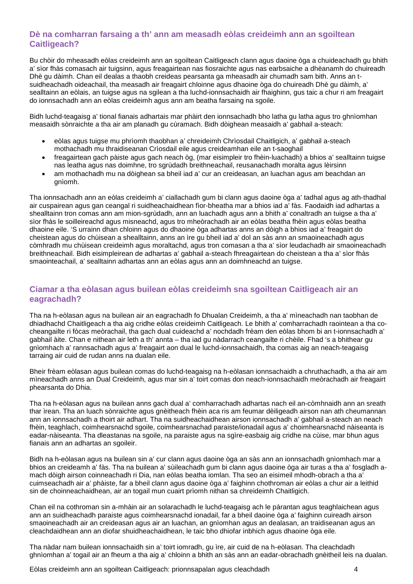## **Dè na comharran farsaing a th' ann am measadh eòlas creideimh ann an sgoiltean Caitligeach?**

Bu chòir do mheasadh eòlas creideimh ann an sgoiltean Caitligeach clann agus daoine òga a chuideachadh gu bhith a' sìor fhàs comasach air tuigsinn, agus freagairtean nas fiosraichte agus nas earbsaiche a dhèanamh do chuireadh Dhè gu dàimh. Chan eil dealas a thaobh creideas pearsanta ga mheasadh air chumadh sam bith. Anns an tsuidheachadh oideachail, tha measadh air freagairt chloinne agus dhaoine òga do chuireadh Dhè gu dàimh, a' sealltainn an eòlais, an tuigse agus na sgilean a tha luchd-ionnsachaidh air fhaighinn, gus taic a chur ri am freagairt do ionnsachadh ann an eòlas creideimh agus ann am beatha farsaing na sgoile.

Bidh luchd-teagaisg a' tional fianais adhartais mar phàirt den ionnsachadh bho latha gu latha agus tro ghnìomhan measaidh sònraichte a tha air am planadh gu cùramach. Bidh dòighean measaidh a' gabhail a-steach:

- eòlas agus tuigse mu phrìomh thaobhan a' chreideimh Chrìosdail Chaitligich, a' gabhail a-steach mothachadh mu thraidiseanan Crìosdail eile agus creideamhan eile an t-saoghail
- freagairtean gach pàiste agus gach neach òg, (mar eisimpleir tro fhèin-luachadh) a bhios a' sealltainn tuigse nas leatha agus nas doimhne, tro sgrùdadh breithneachail, reusanachadh moralta agus lèirsinn
- am mothachadh mu na dòighean sa bheil iad a' cur an creideasan, an luachan agus am beachdan an gnìomh.

Tha ionnsachadh ann an eòlas creideimh a' ciallachadh gum bi clann agus daoine òga a' tadhal agus ag ath-thadhal air cuspairean agus gan ceangal ri suidheachaidhean fìor-bheatha mar a bhios iad a' fàs. Faodaidh iad adhartas a shealltainn tron comas ann am mion-sgrùdadh, ann an luachadh agus ann a bhith a' conaltradh an tuigse a tha a' sìor fhàs le soilleireachd agus misneachd, agus tro mheòrachadh air an eòlas beatha fhèin agus eòlas beatha dhaoine eile. 'S urrainn dhan chloinn agus do dhaoine òga adhartas anns an dòigh a bhios iad a' freagairt do cheistean agus do chùisean a shealltainn, anns an ìre gu bheil iad a' dol an sàs ann an smaoineachadh agus còmhradh mu chùisean creideimh agus moraltachd, agus tron comasan a tha a' sìor leudachadh air smaoineachadh breithneachail. Bidh eisimpleirean de adhartas a' gabhail a-steach fhreagairtean do cheistean a tha a' sìor fhàs smaointeachail, a' sealltainn adhartas ann an eòlas agus ann an doimhneachd an tuigse.

## **Ciamar a tha eòlasan agus builean eòlas creideimh sna sgoiltean Caitligeach air an eagrachadh?**

Tha na h-eòlasan agus na builean air an eagrachadh fo Dhualan Creideimh, a tha a' mìneachadh nan taobhan de dhiadhachd Chaitligeach a tha aig cridhe eòlas creideimh Caitligeach. Le bhith a' comharrachadh raointean a tha cocheangailte ri fòcas meòrachail, tha gach dual cuideachd a' nochdadh frèam den eòlas bhom bi an t-ionnsachadh a' gabhail àite. Chan e nithean air leth a th' annta – tha iad gu nàdarrach ceangailte ri chèile. Fhad 's a bhithear gu gnìomhach a' rannsachadh agus a' freagairt aon dual le luchd-ionnsachaidh, tha comas aig an neach-teagaisg tarraing air cuid de rudan anns na dualan eile.

Bheir frèam eòlasan agus builean comas do luchd-teagaisg na h-eòlasan ionnsachaidh a chruthachadh, a tha air am mìneachadh anns an Dual Creideimh, agus mar sin a' toirt comas don neach-ionnsachaidh meòrachadh air freagairt phearsanta do Dhia.

Tha na h-eòlasan agus na builean anns gach dual a' comharrachadh adhartas nach eil an-còmhnaidh ann an sreath thar ìrean. Tha an luach sònraichte agus gnèitheach fhèin aca ris am feumar dèiligeadh airson nan ath cheumannan ann an ionnsachadh a thoirt air adhart. Tha na suidheachaidhean airson ionnsachadh a' gabhail a-steach an neach fhèin, teaghlach, coimhearsnachd sgoile, coimhearsnachad paraiste/ionadail agus a' choimhearsnachd nàiseanta is eadar-nàiseanta. Tha dleastanas na sgoile, na paraiste agus na sgìre-easbaig aig cridhe na cùise, mar bhun agus fianais ann an adhartas an sgoileir.

Bidh na h-eòlasan agus na builean sin a' cur clann agus daoine òga an sàs ann an ionnsachadh gnìomhach mar a bhios an creideamh a' fàs. Tha na builean a' sùileachadh gum bi clann agus daoine òga air turas a tha a' fosgladh amach dòigh airson coinneachadh ri Dia, nan eòlas beatha iomlan. Tha seo an eisimeil mhodh-obrach a tha a' cuimseachadh air a' phàiste, far a bheil clann agus daoine òga a' faighinn chothroman air eòlas a chur air a leithid sin de choinneachaidhean, air an togail mun cuairt prìomh nithan sa chreideimh Chaitligich.

Chan eil na cothroman sin a-mhàin air an solarachadh le luchd-teagaisg ach le pàrantan agus teaghlaichean agus ann an suidheachadh paraiste agus coimhearsnachd ionadail, far a bheil daoine òga a' faighinn cuireadh airson smaoineachadh air an creideasan agus air an luachan, an gnìomhan agus an dealasan, an traidiseanan agus an cleachdaidhean ann an diofar shuidheachaidhean, le taic bho dhiofar inbhich agus dhaoine òga eile.

Tha nàdar nam builean ionnsachaidh sin a' toirt iomradh, gu ìre, air cuid de na h-eòlasan. Tha cleachdadh ghnìomhan a' togail air an fheum a tha aig a' chloinn a bhith an sàs ann an eadar-obrachadh gnèitheil leis na dualan.

Eòlas creideimh ann an sgoiltean Caitligeach: prionnsapalan agus cleachdadh 4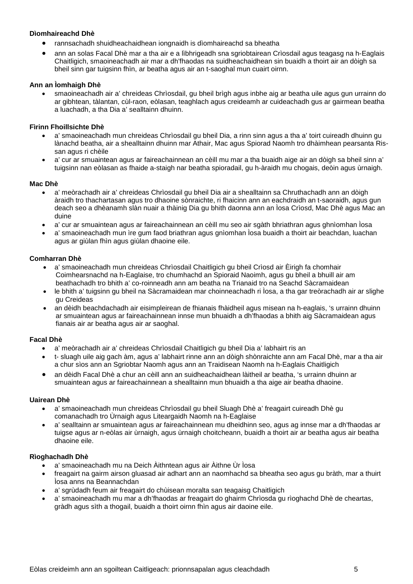## **Dìomhaireachd Dhè**

- rannsachadh shuidheachaidhean iongnaidh is dìomhaireachd sa bheatha
- ann an solas Facal Dhè mar a tha air e a lìbhrigeadh sna sgriobtairean Crìosdail agus teagasg na h-Eaglais Chaitligich, smaoineachadh air mar a dh'fhaodas na suidheachaidhean sin buaidh a thoirt air an dòigh sa bheil sinn gar tuigsinn fhìn, ar beatha agus air an t-saoghal mun cuairt oirnn.

## **Ann an Ìomhaigh Dhè**

• smaoineachadh air a' chreideas Chrìosdail, gu bheil brìgh agus inbhe aig ar beatha uile agus gun urrainn do ar gibhtean, tàlantan, cùl-raon, eòlasan, teaghlach agus creideamh ar cuideachadh gus ar gairmean beatha a luachadh, a tha Dia a' sealltainn dhuinn.

#### **Fìrinn Fhoillsichte Dhè**

- a' smaoineachadh mun chreideas Chrìosdail gu bheil Dia, a rinn sinn agus a tha a' toirt cuireadh dhuinn gu lànachd beatha, air a shealltainn dhuinn mar Athair, Mac agus Spiorad Naomh tro dhàimhean pearsanta Rissan agus ri chèile
- a' cur ar smuaintean agus ar faireachainnean an cèill mu mar a tha buaidh aige air an dòigh sa bheil sinn a' tuigsinn nan eòlasan as fhaide a-staigh nar beatha spioradail, gu h-àraidh mu chogais, deòin agus ùrnaigh.

#### **Mac Dhè**

- a' meòrachadh air a' chreideas Chrìosdail gu bheil Dia air a shealltainn sa Chruthachadh ann an dòigh àraidh tro thachartasan agus tro dhaoine sònraichte, ri fhaicinn ann an eachdraidh an t-saoraidh, agus gun deach seo a dhèanamh slàn nuair a thàinig Dia gu bhith daonna ann an Ìosa Crìosd, Mac Dhè agus Mac an duine
- a' cur ar smuaintean agus ar faireachainnean an cèill mu seo air sgàth bhriathran agus ghnìomhan Ìosa
- a' smaoineachadh mun ìre gum faod briathran agus gnìomhan Ìosa buaidh a thoirt air beachdan, luachan agus ar giùlan fhìn agus giùlan dhaoine eile.

#### **Comharran Dhè**

- a' smaoineachadh mun chreideas Chrìosdail Chaitligich gu bheil Crìosd air Èirigh fa chomhair Coimhearsnachd na h-Eaglaise, tro chumhachd an Spioraid Naoimh, agus gu bheil a bhuill air am beathachadh tro bhith a' co-roinneadh ann am beatha na Trianaid tro na Seachd Sàcramaidean
- le bhith a' tuigsinn gu bheil na Sàcramaidean mar choinneachadh ri Ìosa, a tha gar treòrachadh air ar slighe gu Creideas
- an dèidh beachdachadh air eisimpleirean de fhianais fhàidheil agus misean na h-eaglais, 's urrainn dhuinn ar smuaintean agus ar faireachainnean innse mun bhuaidh a dh'fhaodas a bhith aig Sàcramaidean agus fianais air ar beatha agus air ar saoghal.

#### **Facal Dhè**

- a' meòrachadh air a' chreideas Chrìosdail Chaitligich gu bheil Dia a' labhairt ris an
- t- sluagh uile aig gach àm, agus a' labhairt rinne ann an dòigh shònraichte ann am Facal Dhè, mar a tha air a chur sìos ann an Sgriobtar Naomh agus ann an Traidisean Naomh na h-Eaglais Chaitligich
- an dèidh Facal Dhè a chur an cèill ann an suidheachaidhean làitheil ar beatha, 's urrainn dhuinn ar smuaintean agus ar faireachainnean a shealltainn mun bhuaidh a tha aige air beatha dhaoine.

#### **Uairean Dhè**

- a' smaoineachadh mun chreideas Chrìosdail gu bheil Sluagh Dhè a' freagairt cuireadh Dhè gu comanachadh tro Ùrnaigh agus Liteargaidh Naomh na h-Eaglaise
- a' sealltainn ar smuaintean agus ar faireachainnean mu dheidhinn seo, agus ag innse mar a dh'fhaodas ar tuigse agus ar n-eòlas air ùrnaigh, agus ùrnaigh choitcheann, buaidh a thoirt air ar beatha agus air beatha dhaoine eile.

## **Rìoghachadh Dhè**

- a' smaoineachadh mu na Deich Àithntean agus air Àithne Ùr Ìosa
- freagairt na gairm airson gluasad air adhart ann an naomhachd sa bheatha seo agus gu bràth, mar a thuirt Ìosa anns na Beannachdan
- a' sgrùdadh feum air freagairt do chùisean moralta san teagaisg Chaitligich
- a' smaoineachadh mu mar a dh'fhaodas ar freagairt do ghairm Chrìosda gu rìoghachd Dhè de cheartas, gràdh agus sìth a thogail, buaidh a thoirt oirnn fhìn agus air daoine eile.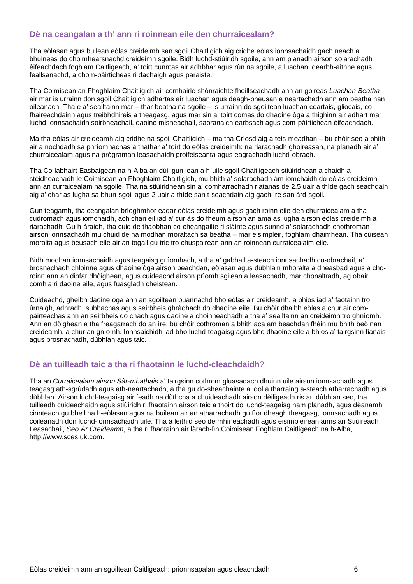## **Dè na ceangalan a th' ann ri roinnean eile den churraicealam?**

Tha eòlasan agus builean eòlas creideimh san sgoil Chaitligich aig cridhe eòlas ionnsachaidh gach neach a bhuineas do choimhearsnachd creideimh sgoile. Bidh luchd-stiùiridh sgoile, ann am planadh airson solarachadh èifeachdach foghlam Caitligeach, a' toirt cunntas air adhbhar agus rùn na sgoile, a luachan, dearbh-aithne agus feallsanachd, a chom-pàirticheas ri dachaigh agus paraiste.

Tha Coimisean an Fhoghlaim Chaitligich air comhairle shònraichte fhoillseachadh ann an goireas *Luachan Beatha* air mar is urrainn don sgoil Chaitligich adhartas air luachan agus deagh-bheusan a neartachadh ann am beatha nan oileanach. Tha e a' sealltainn mar – thar beatha na sgoile – is urrainn do sgoiltean luachan ceartais, gliocais, cofhaireachdainn agus treibhdhireis a theagasg, agus mar sin a' toirt comas do dhaoine òga a thighinn air adhart mar luchd-ionnsachaidh soirbheachail, daoine misneachail, saoranaich earbsach agus com-pàirtichean èifeachdach.

Ma tha eòlas air creideamh aig cridhe na sgoil Chaitligich – ma tha Crìosd aig a teis-meadhan – bu chòir seo a bhith air a nochdadh sa phrìomhachas a thathar a' toirt do eòlas creideimh: na riarachadh ghoireasan, na planadh air a' churraicealam agus na prògraman leasachaidh proifeiseanta agus eagrachadh luchd-obrach.

Tha Co-labhairt Easbaigean na h-Alba an dùil gun lean a h-uile sgoil Chaitligeach stiùiridhean a chaidh a stèidheachadh le Coimisean an Fhoghlaim Chaitligich, mu bhith a' solarachadh àm iomchaidh do eòlas creideimh ann an curraicealam na sgoile. Tha na stiùiridhean sin a' comharrachadh riatanas de 2.5 uair a thìde gach seachdain aig a' char as lugha sa bhun-sgoil agus 2 uair a thìde san t-seachdain aig gach ìre san àrd-sgoil.

Gun teagamh, tha ceangalan brìoghmhor eadar eòlas creideimh agus gach roinn eile den churraicealam a tha cudromach agus iomchaidh, ach chan eil iad a' cur às do fheum airson an ama as lugha airson eòlas creideimh a riarachadh. Gu h-àraidh, tha cuid de thaobhan co-cheangailte ri slàinte agus sunnd a' solarachadh chothroman airson ionnsachadh mu chuid de na modhan moraltach sa beatha – mar eisimpleir, foghlam dhàimhean. Tha cùisean moralta agus beusach eile air an togail gu tric tro chuspairean ann an roinnean curraicealaim eile.

Bidh modhan ionnsachaidh agus teagaisg gnìomhach, a tha a' gabhail a-steach ionnsachadh co-obrachail, a' brosnachadh chloinne agus dhaoine òga airson beachdan, eòlasan agus dùbhlain mhoralta a dheasbad agus a choroinn ann an diofar dhòighean, agus cuideachd airson prìomh sgilean a leasachadh, mar chonaltradh, ag obair còmhla ri daoine eile, agus fuasgladh cheistean.

Cuideachd, gheibh daoine òga ann an sgoiltean buannachd bho eòlas air creideamh, a bhios iad a' faotainn tro ùrnaigh, adhradh, subhachas agus seirbheis ghràdhach do dhaoine eile. Bu chòir dhaibh eòlas a chur air compàirteachas ann an seirbheis do chàch agus daoine a choinneachadh a tha a' sealltainn an creideimh tro ghnìomh. Ann an dòighean a tha freagarrach do an ìre, bu chòir cothroman a bhith aca am beachdan fhèin mu bhith beò nan creideamh, a chur an gnìomh. Ionnsaichidh iad bho luchd-teagaisg agus bho dhaoine eile a bhios a' tairgsinn fianais agus brosnachadh, dùbhlan agus taic.

## **Dè an tuilleadh taic a tha ri fhaotainn le luchd-cleachdaidh?**

Tha an *Curraicealam airson Sàr-mhathais* a' tairgsinn cothrom gluasadach dhuinn uile airson ionnsachadh agus teagasg ath-sgrùdadh agus ath-neartachadh, a tha gu do-sheachainte a' dol a tharraing a-steach atharrachadh agus dùbhlan. Airson luchd-teagaisg air feadh na dùthcha a chuideachadh airson dèiligeadh ris an dùbhlan seo, tha tuilleadh cuideachaidh agus stiùiridh ri fhaotainn airson taic a thoirt do luchd-teagaisg nam planadh, agus dèanamh cinnteach gu bheil na h-eòlasan agus na builean air an atharrachadh gu fìor dheagh theagasg, ionnsachadh agus coileanadh don luchd-ionnsachaidh uile. Tha a leithid seo de mhìneachadh agus eisimpleirean anns an Stiùireadh Leasachail, *Seo Ar Creideamh*, a tha ri fhaotainn air làrach-lìn Coimisean Foghlam Caitligeach na h-Alba, http://www.sces.uk.com.